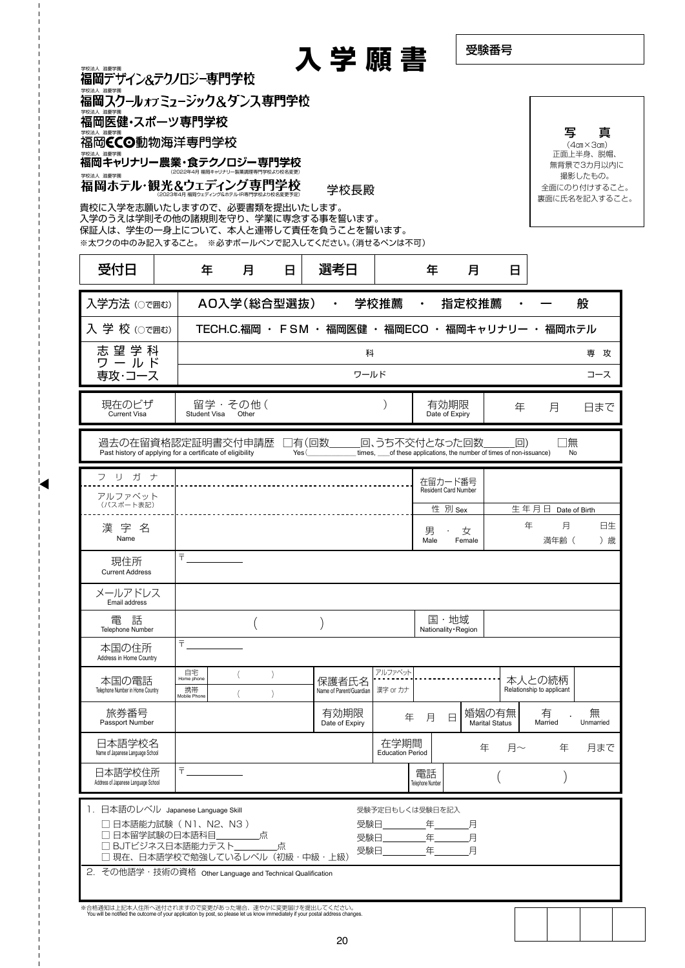|                                                                              |                                  |             |              | 入学願書                                              |                                 |           | 受験番号                              |    |                           |                                      |
|------------------------------------------------------------------------------|----------------------------------|-------------|--------------|---------------------------------------------------|---------------------------------|-----------|-----------------------------------|----|---------------------------|--------------------------------------|
| 福岡デザイン&テクノロジー専門学校<br>福岡スクールォフミューシック&タンス専門学校                                  |                                  |             |              |                                                   |                                 |           |                                   |    |                           |                                      |
| 学校法人 滋慶学園<br>福岡医健・スポーツ専門学校<br>学校法人 滋慶学園                                      |                                  |             |              |                                                   |                                 |           |                                   |    | 写                         |                                      |
| 福岡CCO動物海洋専門学校<br>学校法人 滋慶学園                                                   |                                  |             |              |                                                   |                                 |           |                                   |    |                           | 真<br>$(4cm \times 3cm)$<br>正面上半身、脱帽、 |
| 福岡キャリナリー農業・食テクノロジー専門学校                                                       | (2022年4日 福岡キャリナリー製革調理専門学校より校名変更) |             |              |                                                   |                                 |           |                                   |    |                           | 無背景で3カ月以内に                           |
| 学校法人 滋慶学園<br>福岡ホテル・観光&ウェディング専門学校                                             |                                  |             |              | 学校長殿                                              |                                 |           |                                   |    |                           | 撮影したもの。<br>全面にのり付けすること。              |
| 貴校に入学を志願いたしますので、必要書類を提出いたします。                                                |                                  |             |              |                                                   |                                 |           |                                   |    |                           | 裏面に氏名を記入すること。                        |
| 入学のうえは学則その他の諸規則を守り、学業に専念する事を誓います。<br>保証人は、学生の一身上について、本人と連帯して責任を負うことを誓います。    |                                  |             |              |                                                   |                                 |           |                                   |    |                           |                                      |
| ※太ワクの中のみ記入すること。 ※必ずボールペンで記入してください。(消せるペンは不可)                                 |                                  |             |              |                                                   |                                 |           |                                   |    |                           |                                      |
| 受付日                                                                          | 年                                | 月           | $\mathbf{H}$ | 選考日                                               |                                 | 年         | 月                                 | 日  |                           |                                      |
| 入学方法 (○で囲む)                                                                  |                                  | AO入学(総合型選抜) |              |                                                   | 学校推薦                            |           | 指定校推薦                             |    |                           | 般                                    |
| 入学校(○で囲む)                                                                    |                                  |             |              | TECH.C.福岡 · FSM · 福岡医健 · 福岡ECO · 福岡キャリナリー · 福岡ホテル |                                 |           |                                   |    |                           |                                      |
| 志望学科<br>ワールド                                                                 |                                  |             |              |                                                   | 科                               |           |                                   |    |                           | 専攻                                   |
| 専攻・コース                                                                       |                                  |             |              |                                                   | ワールド                            |           |                                   |    |                           | コース                                  |
| 現在のビザ                                                                        |                                  | 留学・その他(     |              |                                                   |                                 |           | 有効期限                              | 年  | 月                         | 日まで                                  |
| <b>Current Visa</b>                                                          | Student Visa                     | Other       |              |                                                   |                                 |           | Date of Expiry                    |    |                           |                                      |
| Past history of applying for a certificate of eligibility<br>フリガナ<br>アルファベット |                                  |             |              |                                                   |                                 |           | 在留カード番号<br>Resident Card Number   |    |                           |                                      |
| (パスポート表記)                                                                    |                                  |             |              |                                                   |                                 |           | 性 別 Sex                           |    | 生年月日 Date of Birth        |                                      |
| 漢字名<br>Name                                                                  |                                  |             |              |                                                   |                                 | 男<br>Male | 女<br>Female                       | 年  | 月<br>満年齢 (                | 日生<br>) 歳                            |
| 現住所<br><b>Current Address</b>                                                | $=$                              |             |              |                                                   |                                 |           |                                   |    |                           |                                      |
| メールアドレス<br>Email address                                                     |                                  |             |              |                                                   |                                 |           |                                   |    |                           |                                      |
|                                                                              |                                  |             |              |                                                   |                                 |           | 国·地域                              |    |                           |                                      |
| 電話<br><b>Telephone Number</b>                                                |                                  |             |              |                                                   |                                 |           | Nationality · Region              |    |                           |                                      |
| 本国の住所<br>Address in Home Country                                             |                                  |             |              |                                                   |                                 |           |                                   |    |                           |                                      |
| 本国の電話                                                                        | 自宅<br>Home phone                 |             |              | 保護者氏名                                             | アルファベット                         |           |                                   |    | 本人との続柄                    |                                      |
| Telephone Number in Home Country                                             | 携帯<br>Mobile Phone               |             |              | Name of Parent/Guardian                           | 漢字 or カナ                        |           |                                   |    | Relationship to applicant |                                      |
| 旅券番号<br>Passport Number                                                      |                                  |             |              | 有効期限<br>Date of Expiry                            | 年                               | 月         | 婚姻の有無<br>$\Box$<br>Marital Status |    | 有<br>Married              | 無<br>Unmarried                       |
| 日本語学校名<br>Name of Japanese Language School                                   |                                  |             |              |                                                   | 在学期間<br><b>Education Period</b> |           | 年                                 | 月~ | 年                         | 月まで                                  |